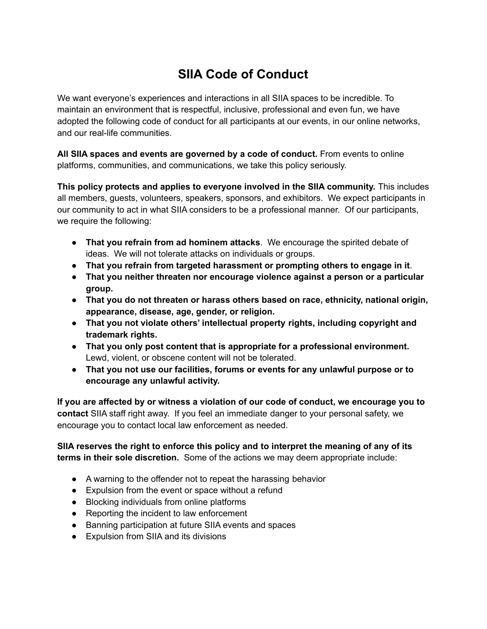## **SIIA Code of Conduct**

We want everyone's experiences and interactions in all SIIA spaces to be incredible. To maintain an environment that is respectful, inclusive, professional and even fun, we have adopted the following code of conduct for all participants at our events, in our online networks, and our real-life communities.

**All SIIA spaces and events are governed by a code of conduct.** From events to online platforms, communities, and communications, we take this policy seriously.

**This policy protects and applies to everyone involved in the SIIA community.** This includes all members, guests, volunteers, speakers, sponsors, and exhibitors. We expect participants in our community to act in what SIIA considers to be a professional manner. Of our participants, we require the following:

- **That you refrain from ad hominem attacks**. We encourage the spirited debate of ideas. We will not tolerate attacks on individuals or groups.
- **That you refrain from targeted harassment or prompting others to engage in it**.
- **● That you neither threaten nor encourage violence against a person or a particular group.**
- **● That you do not threaten or harass others based on race, ethnicity, national origin, appearance, disease, age, gender, or religion.**
- **● That you not violate others' intellectual property rights, including copyright and trademark rights.**
- **That you only post content that is appropriate for a professional environment.** Lewd, violent, or obscene content will not be tolerated.
- **● That you not use our facilities, forums or events for any unlawful purpose or to encourage any unlawful activity.**

**If you are affected by or witness a violation of our code of conduct, we encourage you to contact** SIIA staff right away. If you feel an immediate danger to your personal safety, we encourage you to contact local law enforcement as needed.

**SIIA reserves the right to enforce this policy and to interpret the meaning of any of its terms in their sole discretion.** Some of the actions we may deem appropriate include:

- A warning to the offender not to repeat the harassing behavior
- Expulsion from the event or space without a refund
- Blocking individuals from online platforms
- Reporting the incident to law enforcement
- Banning participation at future SIIA events and spaces
- Expulsion from SIIA and its divisions